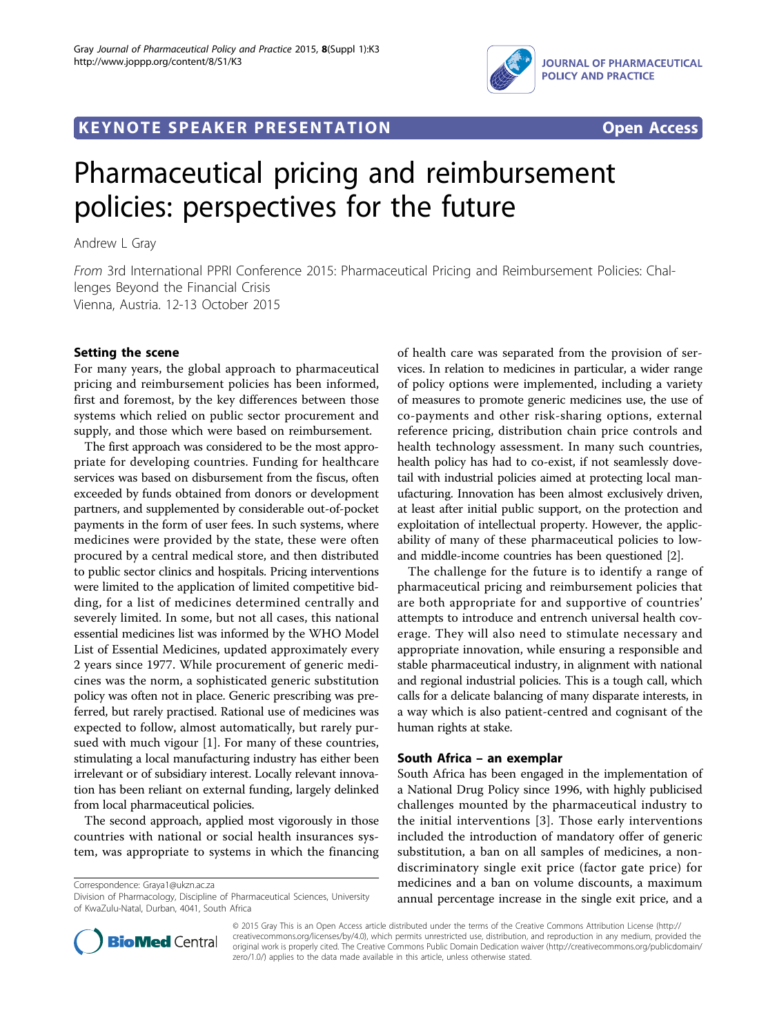# $\mathbf{F}^{\text{max}}_{\text{max}}$  . The special contract of  $\mathbf{F}^{\text{max}}_{\text{max}}$



# Pharmaceutical pricing and reimbursement policies: perspectives for the future

Andrew L Gray

From 3rd International PPRI Conference 2015: Pharmaceutical Pricing and Reimbursement Policies: Challenges Beyond the Financial Crisis Vienna, Austria. 12-13 October 2015

For many years, the global approach to pharmaceutical pricing and reimbursement policies has been informed, first and foremost, by the key differences between those systems which relied on public sector procurement and supply, and those which were based on reimbursement.

The first approach was considered to be the most appropriate for developing countries. Funding for healthcare services was based on disbursement from the fiscus, often exceeded by funds obtained from donors or development partners, and supplemented by considerable out-of-pocket payments in the form of user fees. In such systems, where medicines were provided by the state, these were often procured by a central medical store, and then distributed to public sector clinics and hospitals. Pricing interventions were limited to the application of limited competitive bidding, for a list of medicines determined centrally and severely limited. In some, but not all cases, this national essential medicines list was informed by the WHO Model List of Essential Medicines, updated approximately every 2 years since 1977. While procurement of generic medicines was the norm, a sophisticated generic substitution policy was often not in place. Generic prescribing was preferred, but rarely practised. Rational use of medicines was expected to follow, almost automatically, but rarely pursued with much vigour [[1\]](#page-1-0). For many of these countries, stimulating a local manufacturing industry has either been irrelevant or of subsidiary interest. Locally relevant innovation has been reliant on external funding, largely delinked from local pharmaceutical policies.

The second approach, applied most vigorously in those countries with national or social health insurances system, was appropriate to systems in which the financing

Correspondence: [Graya1@ukzn.ac.za](mailto:Graya1@ukzn.ac.za)

of health care was separated from the provision of services. In relation to medicines in particular, a wider range of policy options were implemented, including a variety of measures to promote generic medicines use, the use of co-payments and other risk-sharing options, external reference pricing, distribution chain price controls and health technology assessment. In many such countries, health policy has had to co-exist, if not seamlessly dovetail with industrial policies aimed at protecting local manufacturing. Innovation has been almost exclusively driven, at least after initial public support, on the protection and exploitation of intellectual property. However, the applicability of many of these pharmaceutical policies to lowand middle-income countries has been questioned [\[2](#page-1-0)].

The challenge for the future is to identify a range of pharmaceutical pricing and reimbursement policies that are both appropriate for and supportive of countries' attempts to introduce and entrench universal health coverage. They will also need to stimulate necessary and appropriate innovation, while ensuring a responsible and stable pharmaceutical industry, in alignment with national and regional industrial policies. This is a tough call, which calls for a delicate balancing of many disparate interests, in a way which is also patient-centred and cognisant of the human rights at stake.

## South Africa – an exemplar

South Africa has been engaged in the implementation of a National Drug Policy since 1996, with highly publicised challenges mounted by the pharmaceutical industry to the initial interventions [[3\]](#page-1-0). Those early interventions included the introduction of mandatory offer of generic substitution, a ban on all samples of medicines, a nondiscriminatory single exit price (factor gate price) for medicines and a ban on volume discounts, a maximum annual percentage increase in the single exit price, and a



© 2015 Gray This is an Open Access article distributed under the terms of the Creative Commons Attribution License [\(http://](http://creativecommons.org/licenses/by/4.0) [creativecommons.org/licenses/by/4.0](http://creativecommons.org/licenses/by/4.0)), which permits unrestricted use, distribution, and reproduction in any medium, provided the original work is properly cited. The Creative Commons Public Domain Dedication waiver ([http://creativecommons.org/publicdomain/](http://creativecommons.org/publicdomain/zero/1.0/) [zero/1.0/](http://creativecommons.org/publicdomain/zero/1.0/)) applies to the data made available in this article, unless otherwise stated.

Division of Pharmacology, Discipline of Pharmaceutical Sciences, University of KwaZulu-Natal, Durban, 4041, South Africa